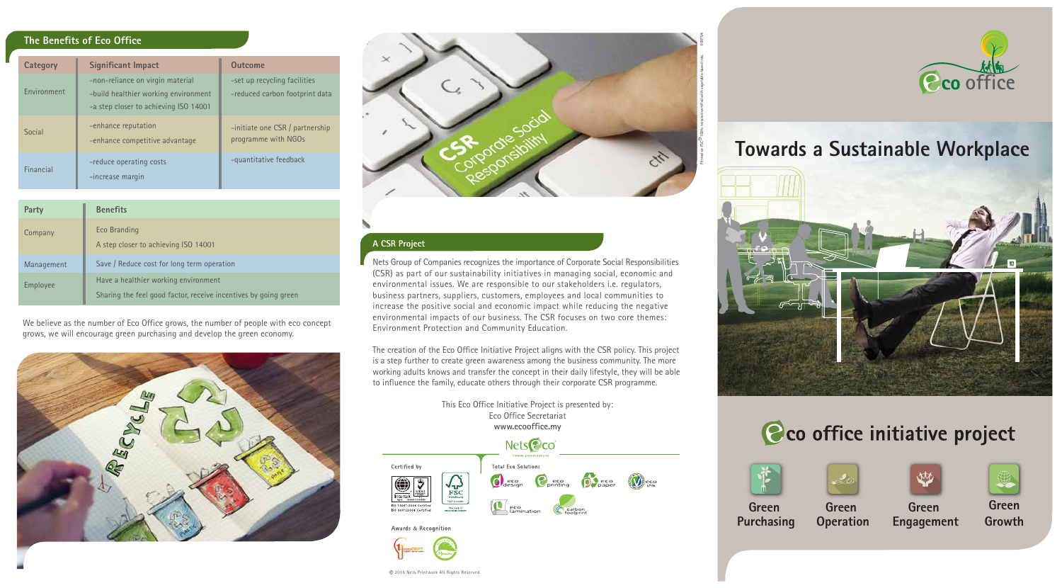2016 Nets Printwork All Rights Reserved

# **A CSR Project**

Nets Group of Companies recognizes the importance of Corporate Social Responsibilities (CSR) as part of our sustainability initiatives in managing social, economic and environmental issues. We are responsible to our stakeholders i.e. regulators, business partners, suppliers, customers, employees and local communities to increase the positive social and economic impact while reducing the negative environmental impacts of our business. The CSR focuses on two core themes: Environment Protection and Community Education.

The creation of the Eco Office Initiative Project aligns with the CSR policy. This project is a step further to create green awareness among the business community. The more working adults knows and transfer the concept in their daily lifestyle, they will be able to influence the family, educate others through their corporate CSR programme.

> This Eco Office Initiative Project is presented by: Eco Office Secretariat **www.ecooffice.my**

# **Towards a Sustainable Workplace**

# Cco office initiative project





**Green Engagement**



**Green Operation**

**Green Growth**

**Green Purchasing**

# **The Benefits of Eco Office**

| Category    | <b>Significant Impact</b>                                                                                         | <b>Outcome</b>                                                 |
|-------------|-------------------------------------------------------------------------------------------------------------------|----------------------------------------------------------------|
| Environment | -non-reliance on virgin material<br>-build healthier working environment<br>-a step closer to achieving ISO 14001 | -set up recycling facilities<br>-reduced carbon footprint data |
| Social      | -enhance reputation<br>-enhance competitive advantage                                                             | -initiate one CSR / partnership<br>programme with NGOs         |
| Financial   | -reduce operating costs<br>-increase margin                                                                       | -quantitative feedback                                         |

#### **Party** Company Management Employee **Benefits** Eco Branding A step closer to achieving ISO 14001 Save / Reduce cost for long term operation Have a healthier working environment Sharing the feel good factor, receive incentives by going green

We believe as the number of Eco Office grows, the number of people with eco concept grows, we will encourage green purchasing and develop the green economy.